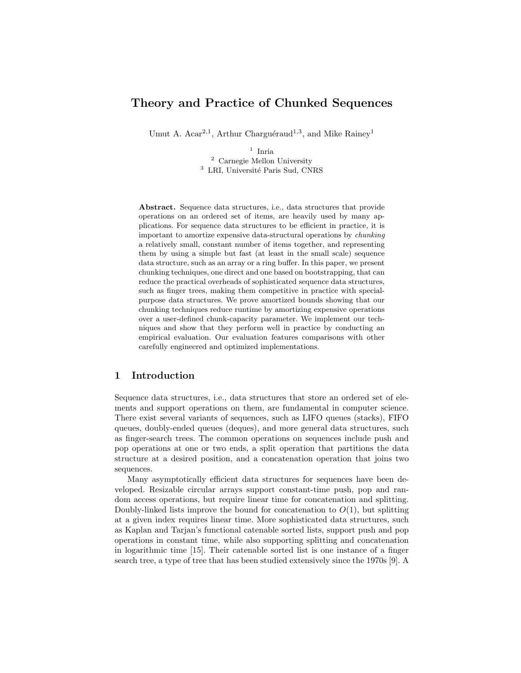# Theory and Practice of Chunked Sequences

Umut A.  $Acar<sup>2,1</sup>$ , Arthur Charguéraud<sup>1,3</sup>, and Mike Rainey<sup>1</sup>

1 Inria <sup>2</sup> Carnegie Mellon University <sup>3</sup> LRI, Université Paris Sud, CNRS

Abstract. Sequence data structures, i.e., data structures that provide operations on an ordered set of items, are heavily used by many applications. For sequence data structures to be efficient in practice, it is important to amortize expensive data-structural operations by chunking a relatively small, constant number of items together, and representing them by using a simple but fast (at least in the small scale) sequence data structure, such as an array or a ring buffer. In this paper, we present chunking techniques, one direct and one based on bootstrapping, that can reduce the practical overheads of sophisticated sequence data structures, such as finger trees, making them competitive in practice with specialpurpose data structures. We prove amortized bounds showing that our chunking techniques reduce runtime by amortizing expensive operations over a user-defined chunk-capacity parameter. We implement our techniques and show that they perform well in practice by conducting an empirical evaluation. Our evaluation features comparisons with other carefully engineered and optimized implementations.

## 1 Introduction

Sequence data structures, i.e., data structures that store an ordered set of elements and support operations on them, are fundamental in computer science. There exist several variants of sequences, such as LIFO queues (stacks), FIFO queues, doubly-ended queues (deques), and more general data structures, such as finger-search trees. The common operations on sequences include push and pop operations at one or two ends, a split operation that partitions the data structure at a desired position, and a concatenation operation that joins two sequences.

Many asymptotically efficient data structures for sequences have been developed. Resizable circular arrays support constant-time push, pop and random access operations, but require linear time for concatenation and splitting. Doubly-linked lists improve the bound for concatenation to  $O(1)$ , but splitting at a given index requires linear time. More sophisticated data structures, such as Kaplan and Tarjan's functional catenable sorted lists, support push and pop operations in constant time, while also supporting splitting and concatenation in logarithmic time [15]. Their catenable sorted list is one instance of a finger search tree, a type of tree that has been studied extensively since the 1970s [9]. A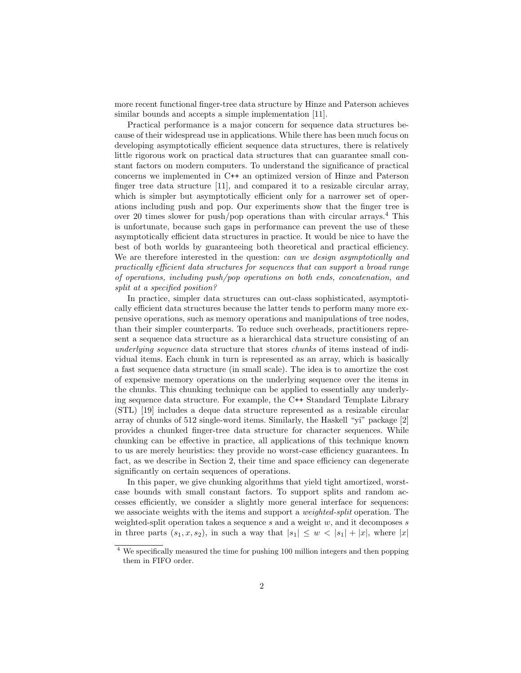more recent functional finger-tree data structure by Hinze and Paterson achieves similar bounds and accepts a simple implementation [11].

Practical performance is a major concern for sequence data structures because of their widespread use in applications. While there has been much focus on developing asymptotically efficient sequence data structures, there is relatively little rigorous work on practical data structures that can guarantee small constant factors on modern computers. To understand the significance of practical concerns we implemented in C++ an optimized version of Hinze and Paterson finger tree data structure [11], and compared it to a resizable circular array, which is simpler but asymptotically efficient only for a narrower set of operations including push and pop. Our experiments show that the finger tree is over 20 times slower for push/pop operations than with circular arrays.<sup>4</sup> This is unfortunate, because such gaps in performance can prevent the use of these asymptotically efficient data structures in practice. It would be nice to have the best of both worlds by guaranteeing both theoretical and practical efficiency. We are therefore interested in the question: can we design asymptotically and practically efficient data structures for sequences that can support a broad range of operations, including push/pop operations on both ends, concatenation, and split at a specified position?

In practice, simpler data structures can out-class sophisticated, asymptotically efficient data structures because the latter tends to perform many more expensive operations, such as memory operations and manipulations of tree nodes, than their simpler counterparts. To reduce such overheads, practitioners represent a sequence data structure as a hierarchical data structure consisting of an underlying sequence data structure that stores *chunks* of items instead of individual items. Each chunk in turn is represented as an array, which is basically a fast sequence data structure (in small scale). The idea is to amortize the cost of expensive memory operations on the underlying sequence over the items in the chunks. This chunking technique can be applied to essentially any underlying sequence data structure. For example, the C++ Standard Template Library (STL) [19] includes a deque data structure represented as a resizable circular array of chunks of 512 single-word items. Similarly, the Haskell "yi" package [2] provides a chunked finger-tree data structure for character sequences. While chunking can be effective in practice, all applications of this technique known to us are merely heuristics: they provide no worst-case efficiency guarantees. In fact, as we describe in Section 2, their time and space efficiency can degenerate significantly on certain sequences of operations.

In this paper, we give chunking algorithms that yield tight amortized, worstcase bounds with small constant factors. To support splits and random accesses efficiently, we consider a slightly more general interface for sequences: we associate weights with the items and support a *weighted-split* operation. The weighted-split operation takes a sequence s and a weight  $w$ , and it decomposes s in three parts  $(s_1, x, s_2)$ , in such a way that  $|s_1| \leq w < |s_1| + |x|$ , where  $|x|$ 

<sup>4</sup> We specifically measured the time for pushing 100 million integers and then popping them in FIFO order.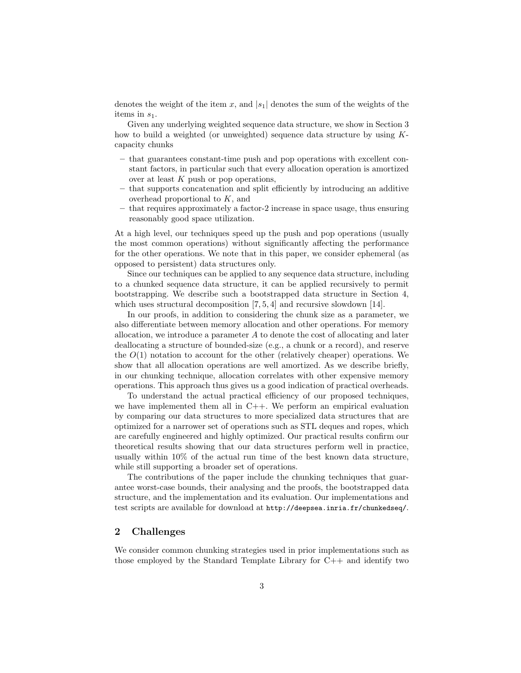denotes the weight of the item x, and  $|s_1|$  denotes the sum of the weights of the items in  $s_1$ .

Given any underlying weighted sequence data structure, we show in Section 3 how to build a weighted (or unweighted) sequence data structure by using Kcapacity chunks

- that guarantees constant-time push and pop operations with excellent constant factors, in particular such that every allocation operation is amortized over at least K push or pop operations,
- that supports concatenation and split efficiently by introducing an additive overhead proportional to K, and
- that requires approximately a factor-2 increase in space usage, thus ensuring reasonably good space utilization.

At a high level, our techniques speed up the push and pop operations (usually the most common operations) without significantly affecting the performance for the other operations. We note that in this paper, we consider ephemeral (as opposed to persistent) data structures only.

Since our techniques can be applied to any sequence data structure, including to a chunked sequence data structure, it can be applied recursively to permit bootstrapping. We describe such a bootstrapped data structure in Section 4, which uses structural decomposition [7, 5, 4] and recursive slowdown [14].

In our proofs, in addition to considering the chunk size as a parameter, we also differentiate between memory allocation and other operations. For memory allocation, we introduce a parameter A to denote the cost of allocating and later deallocating a structure of bounded-size (e.g., a chunk or a record), and reserve the  $O(1)$  notation to account for the other (relatively cheaper) operations. We show that all allocation operations are well amortized. As we describe briefly, in our chunking technique, allocation correlates with other expensive memory operations. This approach thus gives us a good indication of practical overheads.

To understand the actual practical efficiency of our proposed techniques, we have implemented them all in C++. We perform an empirical evaluation by comparing our data structures to more specialized data structures that are optimized for a narrower set of operations such as STL deques and ropes, which are carefully engineered and highly optimized. Our practical results confirm our theoretical results showing that our data structures perform well in practice, usually within 10% of the actual run time of the best known data structure, while still supporting a broader set of operations.

The contributions of the paper include the chunking techniques that guarantee worst-case bounds, their analysing and the proofs, the bootstrapped data structure, and the implementation and its evaluation. Our implementations and test scripts are available for download at http://deepsea.inria.fr/chunkedseq/.

### 2 Challenges

We consider common chunking strategies used in prior implementations such as those employed by the Standard Template Library for  $C_{++}$  and identify two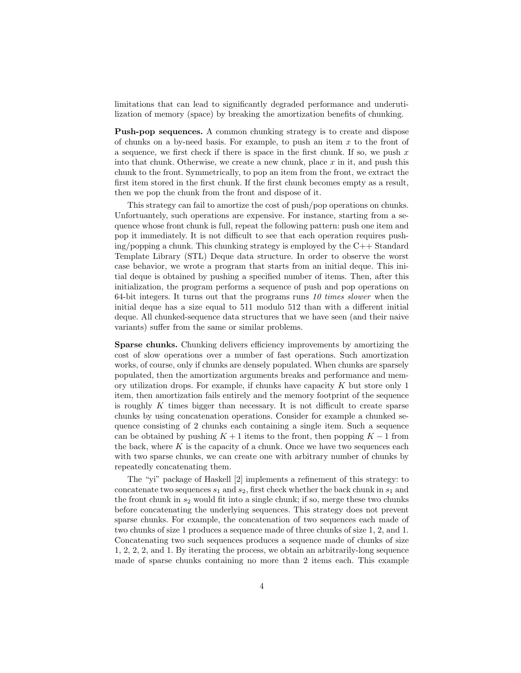limitations that can lead to significantly degraded performance and underutilization of memory (space) by breaking the amortization benefits of chunking.

Push-pop sequences. A common chunking strategy is to create and dispose of chunks on a by-need basis. For example, to push an item  $x$  to the front of a sequence, we first check if there is space in the first chunk. If so, we push  $x$ into that chunk. Otherwise, we create a new chunk, place  $x$  in it, and push this chunk to the front. Symmetrically, to pop an item from the front, we extract the first item stored in the first chunk. If the first chunk becomes empty as a result, then we pop the chunk from the front and dispose of it.

This strategy can fail to amortize the cost of push/pop operations on chunks. Unfortuantely, such operations are expensive. For instance, starting from a sequence whose front chunk is full, repeat the following pattern: push one item and pop it immediately. It is not difficult to see that each operation requires push $ing$ /popping a chunk. This chunking strategy is employed by the  $C++$  Standard Template Library (STL) Deque data structure. In order to observe the worst case behavior, we wrote a program that starts from an initial deque. This initial deque is obtained by pushing a specified number of items. Then, after this initialization, the program performs a sequence of push and pop operations on 64-bit integers. It turns out that the programs runs  $10$  times slower when the initial deque has a size equal to 511 modulo 512 than with a different initial deque. All chunked-sequence data structures that we have seen (and their naive variants) suffer from the same or similar problems.

Sparse chunks. Chunking delivers efficiency improvements by amortizing the cost of slow operations over a number of fast operations. Such amortization works, of course, only if chunks are densely populated. When chunks are sparsely populated, then the amortization arguments breaks and performance and memory utilization drops. For example, if chunks have capacity  $K$  but store only 1 item, then amortization fails entirely and the memory footprint of the sequence is roughly  $K$  times bigger than necessary. It is not difficult to create sparse chunks by using concatenation operations. Consider for example a chunked sequence consisting of 2 chunks each containing a single item. Such a sequence can be obtained by pushing  $K + 1$  items to the front, then popping  $K - 1$  from the back, where  $K$  is the capacity of a chunk. Once we have two sequences each with two sparse chunks, we can create one with arbitrary number of chunks by repeatedly concatenating them.

The "yi" package of Haskell [2] implements a refinement of this strategy: to concatenate two sequences  $s_1$  and  $s_2$ , first check whether the back chunk in  $s_1$  and the front chunk in  $s_2$  would fit into a single chunk; if so, merge these two chunks before concatenating the underlying sequences. This strategy does not prevent sparse chunks. For example, the concatenation of two sequences each made of two chunks of size 1 produces a sequence made of three chunks of size 1, 2, and 1. Concatenating two such sequences produces a sequence made of chunks of size 1, 2, 2, 2, and 1. By iterating the process, we obtain an arbitrarily-long sequence made of sparse chunks containing no more than 2 items each. This example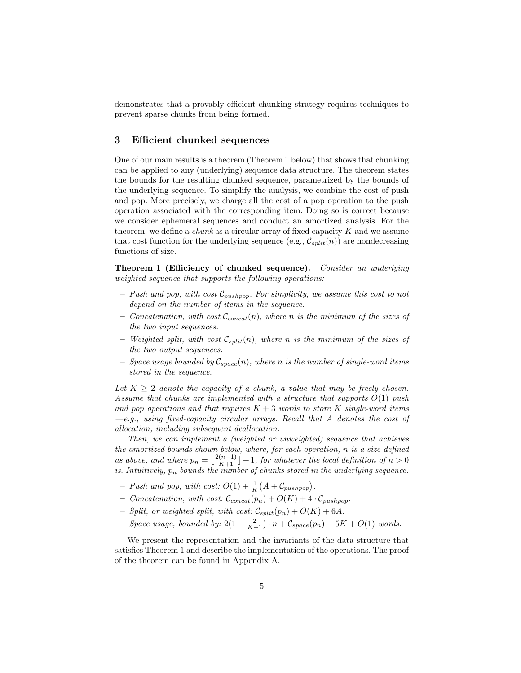demonstrates that a provably efficient chunking strategy requires techniques to prevent sparse chunks from being formed.

## 3 Efficient chunked sequences

One of our main results is a theorem (Theorem 1 below) that shows that chunking can be applied to any (underlying) sequence data structure. The theorem states the bounds for the resulting chunked sequence, parametrized by the bounds of the underlying sequence. To simplify the analysis, we combine the cost of push and pop. More precisely, we charge all the cost of a pop operation to the push operation associated with the corresponding item. Doing so is correct because we consider ephemeral sequences and conduct an amortized analysis. For the theorem, we define a *chunk* as a circular array of fixed capacity  $K$  and we assume that cost function for the underlying sequence (e.g.,  $\mathcal{C}_{split}(n)$ ) are nondecreasing functions of size.

Theorem 1 (Efficiency of chunked sequence). Consider an underlying weighted sequence that supports the following operations:

- Push and pop, with cost  $\mathcal{C}_{pushpop}$ . For simplicity, we assume this cost to not depend on the number of items in the sequence.
- Concatenation, with cost  $\mathcal{C}_{concat}(n)$ , where n is the minimum of the sizes of the two input sequences.
- Weighted split, with cost  $\mathcal{C}_{split}(n)$ , where n is the minimum of the sizes of the two output sequences.
- Space usage bounded by  $\mathcal{C}_{space}(n)$ , where n is the number of single-word items stored in the sequence.

Let  $K > 2$  denote the capacity of a chunk, a value that may be freely chosen. Assume that chunks are implemented with a structure that supports  $O(1)$  push and pop operations and that requires  $K + 3$  words to store K single-word items  $-e.g.,$  using fixed-capacity circular arrays. Recall that A denotes the cost of allocation, including subsequent deallocation.

Then, we can implement a (weighted or unweighted) sequence that achieves the amortized bounds shown below, where, for each operation, n is a size defined as above, and where  $p_n = \lfloor \frac{2(n-1)}{K+1} \rfloor + 1$ , for whatever the local definition of  $n > 0$ is. Intuitively,  $p_n$  bounds the number of chunks stored in the underlying sequence.

- Push and pop, with cost:  $O(1) + \frac{1}{K}(A + C_{pushpop}).$
- Concatenation, with cost:  $\mathcal{C}_{concat}(p_n) + O(K) + 4 \cdot \mathcal{C}_{pushpop}$ .
- Split, or weighted split, with cost:  $\mathcal{C}_{split}(p_n) + O(K) + 6A$ .
- Space usage, bounded by:  $2(1+\frac{2}{K+1})\cdot n + \mathcal{C}_{space}(p_n) + 5K + O(1)$  words.

We present the representation and the invariants of the data structure that satisfies Theorem 1 and describe the implementation of the operations. The proof of the theorem can be found in Appendix A.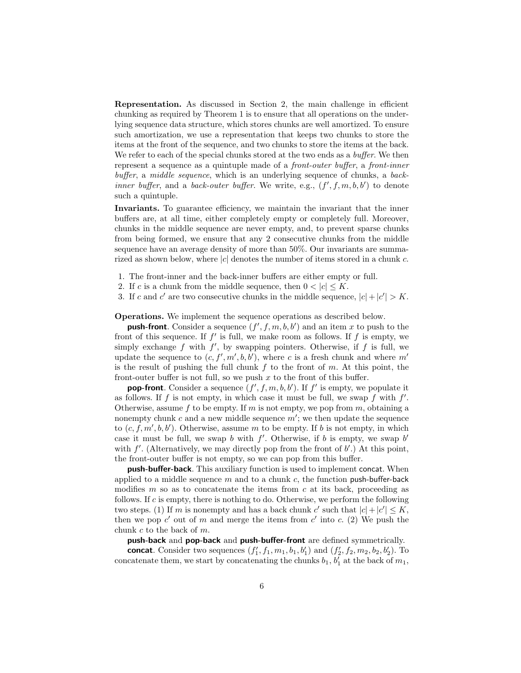Representation. As discussed in Section 2, the main challenge in efficient chunking as required by Theorem 1 is to ensure that all operations on the underlying sequence data structure, which stores chunks are well amortized. To ensure such amortization, we use a representation that keeps two chunks to store the items at the front of the sequence, and two chunks to store the items at the back. We refer to each of the special chunks stored at the two ends as a *buffer*. We then represent a sequence as a quintuple made of a front-outer buffer, a front-inner buffer, a middle sequence, which is an underlying sequence of chunks, a back*inner buffer*, and a *back-outer buffer*. We write, e.g.,  $(f', f, m, b, b')$  to denote such a quintuple.

Invariants. To guarantee efficiency, we maintain the invariant that the inner buffers are, at all time, either completely empty or completely full. Moreover, chunks in the middle sequence are never empty, and, to prevent sparse chunks from being formed, we ensure that any 2 consecutive chunks from the middle sequence have an average density of more than 50%. Our invariants are summarized as shown below, where  $|c|$  denotes the number of items stored in a chunk c.

- 1. The front-inner and the back-inner buffers are either empty or full.
- 2. If c is a chunk from the middle sequence, then  $0 < |c| < K$ .
- 3. If c and c' are two consecutive chunks in the middle sequence,  $|c| + |c'| > K$ .

Operations. We implement the sequence operations as described below.

**push-front**. Consider a sequence  $(f', f, m, b, b')$  and an item x to push to the front of this sequence. If  $f'$  is full, we make room as follows. If  $f$  is empty, we simply exchange  $f$  with  $f'$ , by swapping pointers. Otherwise, if  $f$  is full, we update the sequence to  $(c, f', m', b, b')$ , where c is a fresh chunk and where m' is the result of pushing the full chunk  $f$  to the front of  $m$ . At this point, the front-outer buffer is not full, so we push  $x$  to the front of this buffer.

**pop-front**. Consider a sequence  $(f', f, m, b, b')$ . If f' is empty, we populate it as follows. If  $f$  is not empty, in which case it must be full, we swap  $f$  with  $f'$ . Otherwise, assume f to be empty. If m is not empty, we pop from m, obtaining a nonempty chunk  $c$  and a new middle sequence  $m'$ ; we then update the sequence to  $(c, f, m', b, b')$ . Otherwise, assume m to be empty. If b is not empty, in which case it must be full, we swap b with  $f'$ . Otherwise, if b is empty, we swap b' with  $f'$ . (Alternatively, we may directly pop from the front of  $b'$ .) At this point, the front-outer buffer is not empty, so we can pop from this buffer.

push-buffer-back. This auxiliary function is used to implement concat. When applied to a middle sequence m and to a chunk c, the function push-buffer-back modifies  $m$  so as to concatenate the items from  $c$  at its back, proceeding as follows. If  $c$  is empty, there is nothing to do. Otherwise, we perform the following two steps. (1) If m is nonempty and has a back chunk c' such that  $|c|+|c'| \leq K$ , then we pop  $c'$  out of m and merge the items from  $c'$  into c. (2) We push the chunk c to the back of m.

push-back and pop-back and push-buffer-front are defined symmetrically.

**concat**. Consider two sequences  $(f'_1, f_1, m_1, b_1, b'_1)$  and  $(f'_2, f_2, m_2, b_2, b'_2)$ . To concatenate them, we start by concatenating the chunks  $b_1$ ,  $b'_1$  at the back of  $m_1$ ,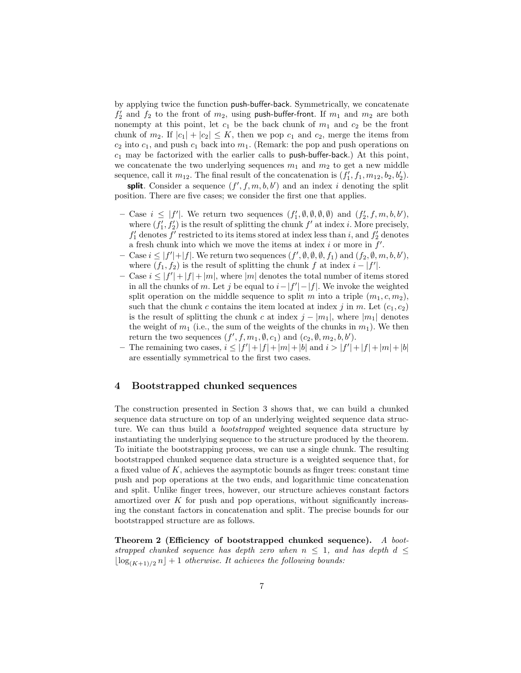by applying twice the function push-buffer-back. Symmetrically, we concatenate  $f'_2$  and  $f_2$  to the front of  $m_2$ , using push-buffer-front. If  $m_1$  and  $m_2$  are both nonempty at this point, let  $c_1$  be the back chunk of  $m_1$  and  $c_2$  be the front chunk of  $m_2$ . If  $|c_1| + |c_2| \leq K$ , then we pop  $c_1$  and  $c_2$ , merge the items from  $c_2$  into  $c_1$ , and push  $c_1$  back into  $m_1$ . (Remark: the pop and push operations on  $c_1$  may be factorized with the earlier calls to push-buffer-back.) At this point, we concatenate the two underlying sequences  $m_1$  and  $m_2$  to get a new middle sequence, call it  $m_{12}$ . The final result of the concatenation is  $(f'_1, f_1, m_{12}, b_2, b'_2)$ .

split. Consider a sequence  $(f', f, m, b, b')$  and an index i denoting the split position. There are five cases; we consider the first one that applies.

- Case  $i \leq |f'|$ . We return two sequences  $(f'_1, \emptyset, \emptyset, \emptyset, \emptyset)$  and  $(f'_2, f, m, b, b')$ , where  $(f'_1, f'_2)$  is the result of splitting the chunk  $f'$  at index *i*. More precisely,  $f'_1$  denotes  $f'$  restricted to its items stored at index less than i, and  $f'_2$  denotes a fresh chunk into which we move the items at index  $i$  or more in  $f'$ .
- Case  $i \leq |f'|+|f|$ . We return two sequences  $(f', \emptyset, \emptyset, \emptyset, f_1)$  and  $(f_2, \emptyset, m, b, b')$ , where  $(f_1, f_2)$  is the result of splitting the chunk f at index  $i - |f'|$ .
- Case  $i \leq |f'| + |f| + |m|$ , where  $|m|$  denotes the total number of items stored in all the chunks of m. Let j be equal to  $i - |f'|-|f|$ . We invoke the weighted split operation on the middle sequence to split m into a triple  $(m_1, c, m_2)$ , such that the chunk c contains the item located at index j in m. Let  $(c_1, c_2)$ is the result of splitting the chunk c at index  $j - |m_1|$ , where  $|m_1|$  denotes the weight of  $m_1$  (i.e., the sum of the weights of the chunks in  $m_1$ ). We then return the two sequences  $(f', f, m_1, \emptyset, c_1)$  and  $(c_2, \emptyset, m_2, b, b')$ .
- The remaining two cases,  $i \leq |f'| + |f| + |m| + |b|$  and  $i > |f'| + |f| + |m| + |b|$ are essentially symmetrical to the first two cases.

## 4 Bootstrapped chunked sequences

The construction presented in Section 3 shows that, we can build a chunked sequence data structure on top of an underlying weighted sequence data structure. We can thus build a *bootstrapped* weighted sequence data structure by instantiating the underlying sequence to the structure produced by the theorem. To initiate the bootstrapping process, we can use a single chunk. The resulting bootstrapped chunked sequence data structure is a weighted sequence that, for a fixed value of  $K$ , achieves the asymptotic bounds as finger trees: constant time push and pop operations at the two ends, and logarithmic time concatenation and split. Unlike finger trees, however, our structure achieves constant factors amortized over  $K$  for push and pop operations, without significantly increasing the constant factors in concatenation and split. The precise bounds for our bootstrapped structure are as follows.

Theorem 2 (Efficiency of bootstrapped chunked sequence). A bootstrapped chunked sequence has depth zero when  $n \leq 1$ , and has depth  $d \leq$  $\lfloor \log(K+1)/2 \ n \rfloor + 1$  otherwise. It achieves the following bounds: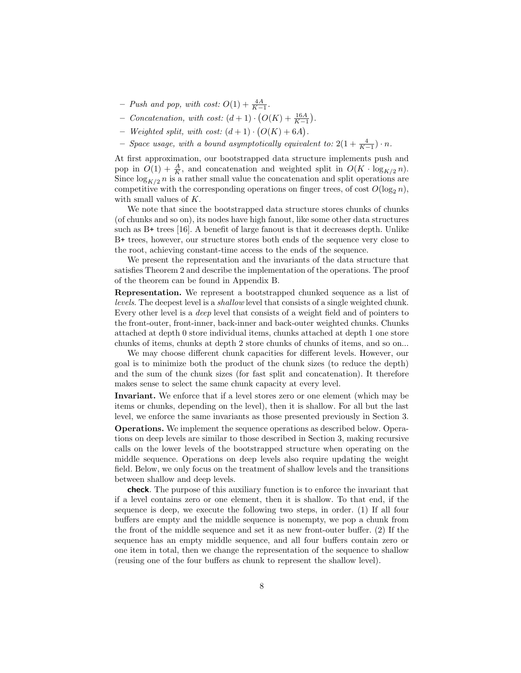- Push and pop, with cost:  $O(1) + \frac{4A}{K-1}$ .
- Concatenation, with cost:  $(d+1) \cdot (O(K) + \frac{16A}{K-1}).$
- Weighted split, with cost:  $(d+1) \cdot (O(K) + 6A)$ .
- $-$  Space usage, with a bound asymptotically equivalent to:  $2(1+\frac{4}{K-1})\cdot n$ .

At first approximation, our bootstrapped data structure implements push and pop in  $O(1) + \frac{A}{K}$ , and concatenation and weighted split in  $O(K \cdot \log_{K/2} n)$ . Since  $\log_{K/2} n$  is a rather small value the concatenation and split operations are competitive with the corresponding operations on finger trees, of cost  $O(\log_2 n)$ , with small values of K.

We note that since the bootstrapped data structure stores chunks of chunks (of chunks and so on), its nodes have high fanout, like some other data structures such as  $B<sup>+</sup>$  trees [16]. A benefit of large fanout is that it decreases depth. Unlike B+ trees, however, our structure stores both ends of the sequence very close to the root, achieving constant-time access to the ends of the sequence.

We present the representation and the invariants of the data structure that satisfies Theorem 2 and describe the implementation of the operations. The proof of the theorem can be found in Appendix B.

Representation. We represent a bootstrapped chunked sequence as a list of levels. The deepest level is a shallow level that consists of a single weighted chunk. Every other level is a deep level that consists of a weight field and of pointers to the front-outer, front-inner, back-inner and back-outer weighted chunks. Chunks attached at depth 0 store individual items, chunks attached at depth 1 one store chunks of items, chunks at depth 2 store chunks of chunks of items, and so on...

We may choose different chunk capacities for different levels. However, our goal is to minimize both the product of the chunk sizes (to reduce the depth) and the sum of the chunk sizes (for fast split and concatenation). It therefore makes sense to select the same chunk capacity at every level.

Invariant. We enforce that if a level stores zero or one element (which may be items or chunks, depending on the level), then it is shallow. For all but the last level, we enforce the same invariants as those presented previously in Section 3.

Operations. We implement the sequence operations as described below. Operations on deep levels are similar to those described in Section 3, making recursive calls on the lower levels of the bootstrapped structure when operating on the middle sequence. Operations on deep levels also require updating the weight field. Below, we only focus on the treatment of shallow levels and the transitions between shallow and deep levels.

check. The purpose of this auxiliary function is to enforce the invariant that if a level contains zero or one element, then it is shallow. To that end, if the sequence is deep, we execute the following two steps, in order. (1) If all four buffers are empty and the middle sequence is nonempty, we pop a chunk from the front of the middle sequence and set it as new front-outer buffer. (2) If the sequence has an empty middle sequence, and all four buffers contain zero or one item in total, then we change the representation of the sequence to shallow (reusing one of the four buffers as chunk to represent the shallow level).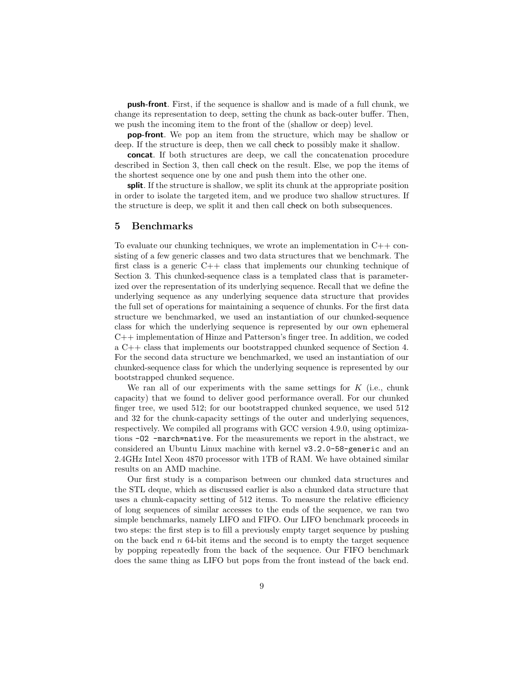push-front. First, if the sequence is shallow and is made of a full chunk, we change its representation to deep, setting the chunk as back-outer buffer. Then, we push the incoming item to the front of the (shallow or deep) level.

pop-front. We pop an item from the structure, which may be shallow or deep. If the structure is deep, then we call check to possibly make it shallow.

concat. If both structures are deep, we call the concatenation procedure described in Section 3, then call check on the result. Else, we pop the items of the shortest sequence one by one and push them into the other one.

split. If the structure is shallow, we split its chunk at the appropriate position in order to isolate the targeted item, and we produce two shallow structures. If the structure is deep, we split it and then call check on both subsequences.

#### 5 Benchmarks

To evaluate our chunking techniques, we wrote an implementation in  $C++$  consisting of a few generic classes and two data structures that we benchmark. The first class is a generic C++ class that implements our chunking technique of Section 3. This chunked-sequence class is a templated class that is parameterized over the representation of its underlying sequence. Recall that we define the underlying sequence as any underlying sequence data structure that provides the full set of operations for maintaining a sequence of chunks. For the first data structure we benchmarked, we used an instantiation of our chunked-sequence class for which the underlying sequence is represented by our own ephemeral C++ implementation of Hinze and Patterson's finger tree. In addition, we coded a C++ class that implements our bootstrapped chunked sequence of Section 4. For the second data structure we benchmarked, we used an instantiation of our chunked-sequence class for which the underlying sequence is represented by our bootstrapped chunked sequence.

We ran all of our experiments with the same settings for  $K$  (i.e., chunk capacity) that we found to deliver good performance overall. For our chunked finger tree, we used 512; for our bootstrapped chunked sequence, we used 512 and 32 for the chunk-capacity settings of the outer and underlying sequences, respectively. We compiled all programs with GCC version 4.9.0, using optimizations -O2 -march=native. For the measurements we report in the abstract, we considered an Ubuntu Linux machine with kernel v3.2.0-58-generic and an 2.4GHz Intel Xeon 4870 processor with 1TB of RAM. We have obtained similar results on an AMD machine.

Our first study is a comparison between our chunked data structures and the STL deque, which as discussed earlier is also a chunked data structure that uses a chunk-capacity setting of 512 items. To measure the relative efficiency of long sequences of similar accesses to the ends of the sequence, we ran two simple benchmarks, namely LIFO and FIFO. Our LIFO benchmark proceeds in two steps: the first step is to fill a previously empty target sequence by pushing on the back end  $n \, 64$ -bit items and the second is to empty the target sequence by popping repeatedly from the back of the sequence. Our FIFO benchmark does the same thing as LIFO but pops from the front instead of the back end.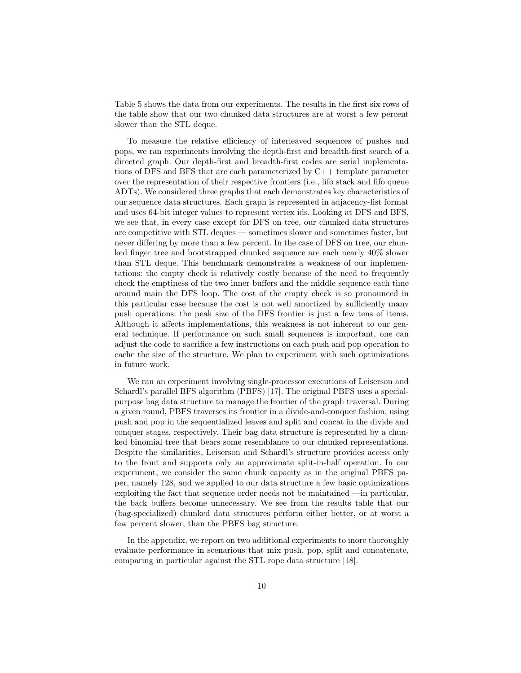Table 5 shows the data from our experiments. The results in the first six rows of the table show that our two chunked data structures are at worst a few percent slower than the STL deque.

To measure the relative efficiency of interleaved sequences of pushes and pops, we ran experiments involving the depth-first and breadth-first search of a directed graph. Our depth-first and breadth-first codes are serial implementations of DFS and BFS that are each parameterized by C++ template parameter over the representation of their respective frontiers (i.e., lifo stack and fifo queue ADTs). We considered three graphs that each demonstrates key characteristics of our sequence data structures. Each graph is represented in adjacency-list format and uses 64-bit integer values to represent vertex ids. Looking at DFS and BFS, we see that, in every case except for DFS on tree, our chunked data structures are competitive with STL deques — sometimes slower and sometimes faster, but never differing by more than a few percent. In the case of DFS on tree, our chunked finger tree and bootstrapped chunked sequence are each nearly 40% slower than STL deque. This benchmark demonstrates a weakness of our implementations: the empty check is relatively costly because of the need to frequently check the emptiness of the two inner buffers and the middle sequence each time around main the DFS loop. The cost of the empty check is so pronounced in this particular case because the cost is not well amortized by sufficiently many push operations: the peak size of the DFS frontier is just a few tens of items. Although it affects implementations, this weakness is not inherent to our general technique. If performance on such small sequences is important, one can adjust the code to sacrifice a few instructions on each push and pop operation to cache the size of the structure. We plan to experiment with such optimizations in future work.

We ran an experiment involving single-processor executions of Leiserson and Schardl's parallel BFS algorithm (PBFS) [17]. The original PBFS uses a specialpurpose bag data structure to manage the frontier of the graph traversal. During a given round, PBFS traverses its frontier in a divide-and-conquer fashion, using push and pop in the sequentialized leaves and split and concat in the divide and conquer stages, respectively. Their bag data structure is represented by a chunked binomial tree that bears some resemblance to our chunked representations. Despite the similarities, Leiserson and Schardl's structure provides access only to the front and supports only an approximate split-in-half operation. In our experiment, we consider the same chunk capacity as in the original PBFS paper, namely 128, and we applied to our data structure a few basic optimizations exploiting the fact that sequence order needs not be maintained —in particular, the back buffers become unnecessary. We see from the results table that our (bag-specialized) chunked data structures perform either better, or at worst a few percent slower, than the PBFS bag structure.

In the appendix, we report on two additional experiments to more thoroughly evaluate performance in scenarious that mix push, pop, split and concatenate, comparing in particular against the STL rope data structure [18].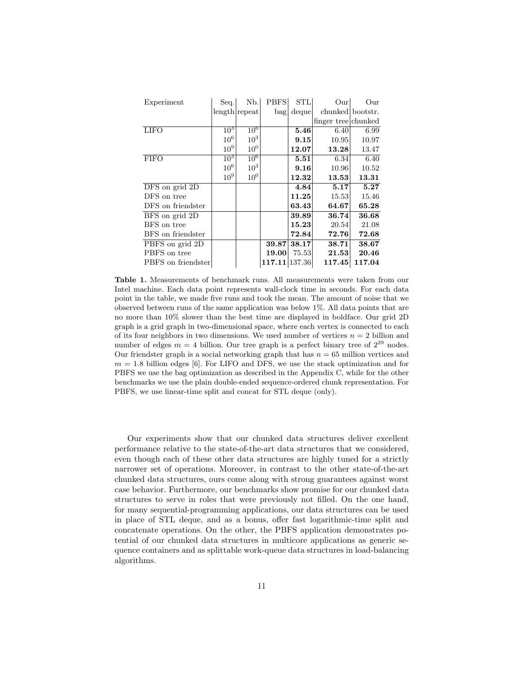| Experiment         | Seq.            | Nb.             | <b>PBFS</b>   | <b>STL</b> | Our                 | Our              |
|--------------------|-----------------|-----------------|---------------|------------|---------------------|------------------|
|                    |                 | length repeat   | bag           | deque      |                     | chunked bootstr. |
|                    |                 |                 |               |            | finger tree chunked |                  |
| <b>LIFO</b>        | 10 <sup>3</sup> | $10^6$          |               | 5.46       | 6.40                | 6.99             |
|                    | $10^6$          | $10^3$          |               | 9.15       | 10.95               | 10.97            |
|                    | 10 <sup>9</sup> | 10 <sup>0</sup> |               | 12.07      | 13.28               | 13.47            |
| <b>FIFO</b>        | 10 <sup>3</sup> | 10 <sup>6</sup> |               | 5.51       | 6.34                | 6.40             |
|                    | $10^6$          | $10^3$          |               | 9.16       | 10.96               | 10.52            |
|                    | 10 <sup>9</sup> | 10 <sup>0</sup> |               | 12.32      | 13.53               | $13.31\,$        |
| DFS on grid 2D     |                 |                 |               | 4.84       | 5.17                | 5.27             |
| DFS on tree        |                 |                 |               | 11.25      | 15.53               | 15.46            |
| DFS on friendster  |                 |                 |               | 63.43      | 64.67               | 65.28            |
| BFS on grid 2D     |                 |                 |               | 39.89      | 36.74               | 36.68            |
| BFS on tree        |                 |                 |               | 15.23      | 20.54               | 21.08            |
| BFS on friendster  |                 |                 |               | 72.84      | 72.76               | 72.68            |
| PBFS on grid 2D    |                 |                 | 39.87         | 38.17      | 38.71               | 38.67            |
| PBFS on tree       |                 |                 | 19.00         | 75.53      | 21.53               | 20.46            |
| PBFS on friendster |                 |                 | 117.11 137.36 |            | 117.45              | 117.04           |

Table 1. Measurements of benchmark runs. All measurements were taken from our Intel machine. Each data point represents wall-clock time in seconds. For each data point in the table, we made five runs and took the mean. The amount of noise that we observed between runs of the same application was below 1%. All data points that are no more than 10% slower than the best time are displayed in boldface. Our grid 2D graph is a grid graph in two-dimensional space, where each vertex is connected to each of its four neighbors in two dimensions. We used number of vertices  $n = 2$  billion and number of edges  $m = 4$  billion. Our tree graph is a perfect binary tree of  $2^{29}$  nodes. Our friendster graph is a social networking graph that has  $n = 65$  million vertices and  $m = 1.8$  billion edges [6]. For LIFO and DFS, we use the stack optimization and for PBFS we use the bag optimization as described in the Appendix C, while for the other benchmarks we use the plain double-ended sequence-ordered chunk representation. For PBFS, we use linear-time split and concat for STL deque (only).

Our experiments show that our chunked data structures deliver excellent performance relative to the state-of-the-art data structures that we considered, even though each of these other data structures are highly tuned for a strictly narrower set of operations. Moreover, in contrast to the other state-of-the-art chunked data structures, ours come along with strong guarantees against worst case behavior. Furthermore, our benchmarks show promise for our chunked data structures to serve in roles that were previously not filled. On the one hand, for many sequential-programming applications, our data structures can be used in place of STL deque, and as a bonus, offer fast logarithmic-time split and concatenate operations. On the other, the PBFS application demonstrates potential of our chunked data structures in multicore applications as generic sequence containers and as splittable work-queue data structures in load-balancing algorithms.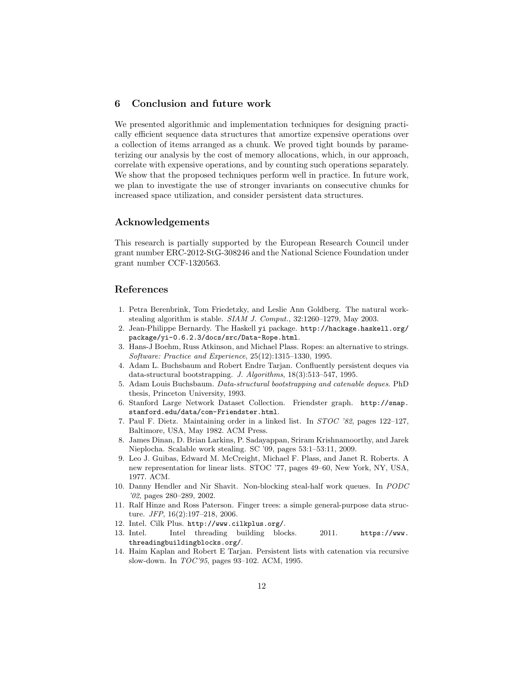## 6 Conclusion and future work

We presented algorithmic and implementation techniques for designing practically efficient sequence data structures that amortize expensive operations over a collection of items arranged as a chunk. We proved tight bounds by parameterizing our analysis by the cost of memory allocations, which, in our approach, correlate with expensive operations, and by counting such operations separately. We show that the proposed techniques perform well in practice. In future work, we plan to investigate the use of stronger invariants on consecutive chunks for increased space utilization, and consider persistent data structures.

### Acknowledgements

This research is partially supported by the European Research Council under grant number ERC-2012-StG-308246 and the National Science Foundation under grant number CCF-1320563.

### References

- 1. Petra Berenbrink, Tom Friedetzky, and Leslie Ann Goldberg. The natural workstealing algorithm is stable. SIAM J. Comput., 32:1260–1279, May 2003.
- 2. Jean-Philippe Bernardy. The Haskell yi package. http://hackage.haskell.org/ package/yi-0.6.2.3/docs/src/Data-Rope.html.
- 3. Hans-J Boehm, Russ Atkinson, and Michael Plass. Ropes: an alternative to strings. Software: Practice and Experience, 25(12):1315–1330, 1995.
- 4. Adam L. Buchsbaum and Robert Endre Tarjan. Confluently persistent deques via data-structural bootstrapping. J. Algorithms, 18(3):513–547, 1995.
- 5. Adam Louis Buchsbaum. Data-structural bootstrapping and catenable deques. PhD thesis, Princeton University, 1993.
- 6. Stanford Large Network Dataset Collection. Friendster graph. http://snap. stanford.edu/data/com-Friendster.html.
- 7. Paul F. Dietz. Maintaining order in a linked list. In STOC '82, pages 122–127, Baltimore, USA, May 1982. ACM Press.
- 8. James Dinan, D. Brian Larkins, P. Sadayappan, Sriram Krishnamoorthy, and Jarek Nieplocha. Scalable work stealing. SC '09, pages 53:1–53:11, 2009.
- 9. Leo J. Guibas, Edward M. McCreight, Michael F. Plass, and Janet R. Roberts. A new representation for linear lists. STOC '77, pages 49–60, New York, NY, USA, 1977. ACM.
- 10. Danny Hendler and Nir Shavit. Non-blocking steal-half work queues. In PODC '02, pages 280–289, 2002.
- 11. Ralf Hinze and Ross Paterson. Finger trees: a simple general-purpose data structure. JFP, 16(2):197–218, 2006.
- 12. Intel. Cilk Plus. http://www.cilkplus.org/.
- 13. Intel. Intel threading building blocks. 2011. https://www. threadingbuildingblocks.org/.
- 14. Haim Kaplan and Robert E Tarjan. Persistent lists with catenation via recursive slow-down. In TOC'95, pages 93–102. ACM, 1995.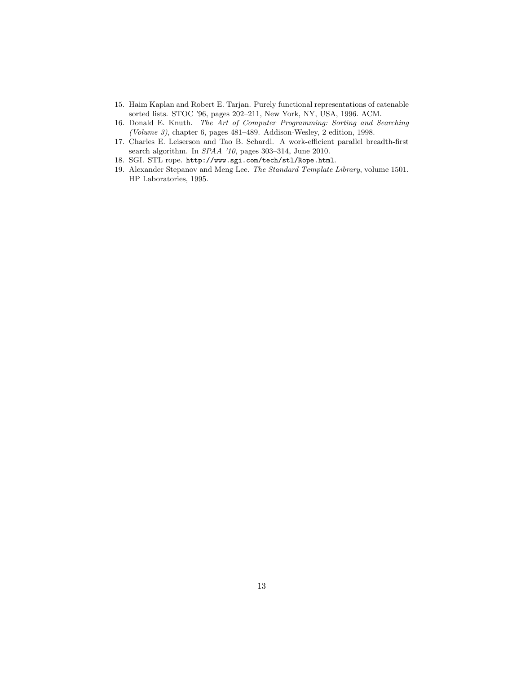- 15. Haim Kaplan and Robert E. Tarjan. Purely functional representations of catenable sorted lists. STOC '96, pages 202–211, New York, NY, USA, 1996. ACM.
- 16. Donald E. Knuth. The Art of Computer Programming: Sorting and Searching (Volume 3), chapter 6, pages 481–489. Addison-Wesley, 2 edition, 1998.
- 17. Charles E. Leiserson and Tao B. Schardl. A work-efficient parallel breadth-first search algorithm. In SPAA '10, pages 303–314, June 2010.
- 18. SGI. STL rope. http://www.sgi.com/tech/stl/Rope.html.
- 19. Alexander Stepanov and Meng Lee. The Standard Template Library, volume 1501. HP Laboratories, 1995.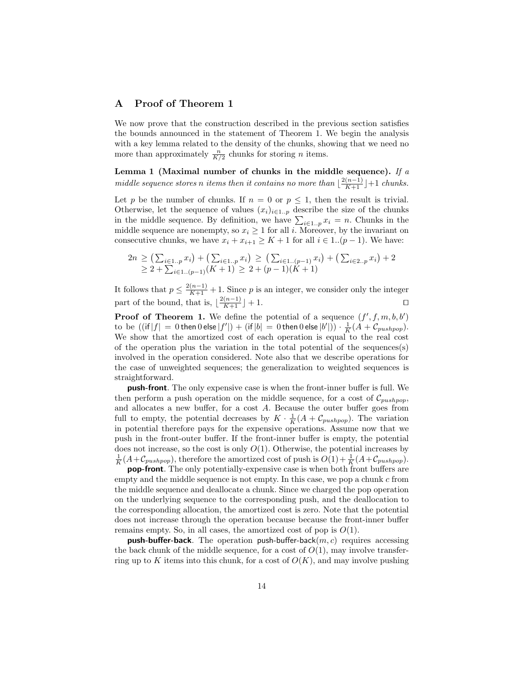### A Proof of Theorem 1

We now prove that the construction described in the previous section satisfies the bounds announced in the statement of Theorem 1. We begin the analysis with a key lemma related to the density of the chunks, showing that we need no more than approximately  $\frac{n}{K/2}$  chunks for storing *n* items.

Lemma 1 (Maximal number of chunks in the middle sequence). If a middle sequence stores n items then it contains no more than  $\lfloor \frac{2(n-1)}{K+1} \rfloor + 1$  chunks.

Let p be the number of chunks. If  $n = 0$  or  $p \le 1$ , then the result is trivial. Otherwise, let the sequence of values  $(x_i)_{i\in 1..p}$  describe the size of the chunks in the middle sequence. By definition, we have  $\sum_{i\in I,j} x_i = n$ . Chunks in the middle sequence are nonempty, so  $x_i \geq 1$  for all i. Moreover, by the invariant on consecutive chunks, we have  $x_i + x_{i+1} \geq K + 1$  for all  $i \in 1..(p-1)$ . We have:

$$
2n \geq \left(\sum_{i\in 1..p} x_i\right) + \left(\sum_{i\in 1..p} x_i\right) \geq \left(\sum_{i\in 1..(p-1)} x_i\right) + \left(\sum_{i\in 2..p} x_i\right) + 2
$$
  
\n
$$
\geq 2 + \sum_{i\in 1..(p-1)} (K+1) \geq 2 + (p-1)(K+1)
$$

It follows that  $p \leq \frac{2(n-1)}{K+1} + 1$ . Since p is an integer, we consider only the integer part of the bound, that is,  $\lfloor \frac{2(n-1)}{K+1} \rfloor + 1$ .

**Proof of Theorem 1.** We define the potential of a sequence  $(f', f, m, b, b')$ to be  $((\text{if }|f| = 0 \text{ then } 0 \text{ else } |f'|) + (\text{if }|b| = 0 \text{ then } 0 \text{ else } |b'|)) \cdot \frac{1}{K}(A + \mathcal{C}_{pushpop}).$ We show that the amortized cost of each operation is equal to the real cost of the operation plus the variation in the total potential of the sequences(s) involved in the operation considered. Note also that we describe operations for the case of unweighted sequences; the generalization to weighted sequences is straightforward.

push-front. The only expensive case is when the front-inner buffer is full. We then perform a push operation on the middle sequence, for a cost of  $\mathcal{C}_{pushpop}$ , and allocates a new buffer, for a cost A. Because the outer buffer goes from full to empty, the potential decreases by  $K \cdot \frac{1}{K}(A + \mathcal{C}_{pushpop})$ . The variation in potential therefore pays for the expensive operations. Assume now that we push in the front-outer buffer. If the front-inner buffer is empty, the potential does not increase, so the cost is only  $O(1)$ . Otherwise, the potential increases by  $\frac{1}{K}(A+C_{pushpop})$ , therefore the amortized cost of push is  $O(1)+\frac{1}{K}(A+C_{pushpop})$ .

pop-front. The only potentially-expensive case is when both front buffers are empty and the middle sequence is not empty. In this case, we pop a chunk  $c$  from the middle sequence and deallocate a chunk. Since we charged the pop operation on the underlying sequence to the corresponding push, and the deallocation to the corresponding allocation, the amortized cost is zero. Note that the potential does not increase through the operation because because the front-inner buffer remains empty. So, in all cases, the amortized cost of pop is  $O(1)$ .

**push-buffer-back**. The operation push-buffer-back $(m, c)$  requires accessing the back chunk of the middle sequence, for a cost of  $O(1)$ , may involve transferring up to K items into this chunk, for a cost of  $O(K)$ , and may involve pushing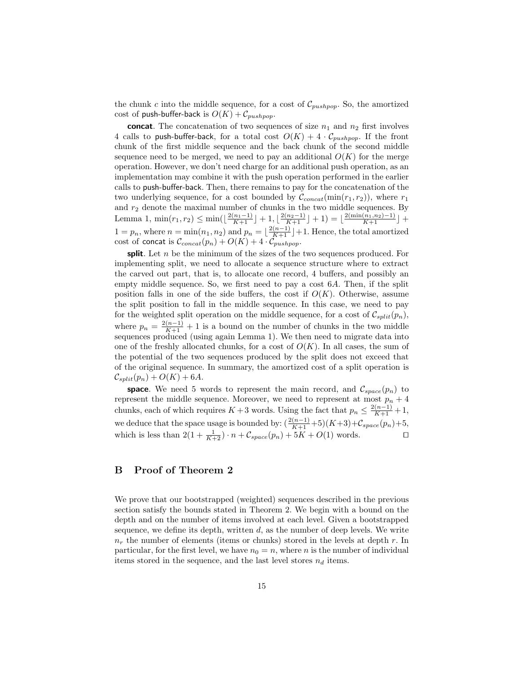the chunk c into the middle sequence, for a cost of  $\mathcal{C}_{pushpop}$ . So, the amortized cost of push-buffer-back is  $O(K) + C_{pushpop}$ .

concat. The concatenation of two sequences of size  $n_1$  and  $n_2$  first involves 4 calls to push-buffer-back, for a total cost  $O(K) + 4 \cdot C_{\text{pushnon}}$ . If the front chunk of the first middle sequence and the back chunk of the second middle sequence need to be merged, we need to pay an additional  $O(K)$  for the merge operation. However, we don't need charge for an additional push operation, as an implementation may combine it with the push operation performed in the earlier calls to push-buffer-back. Then, there remains to pay for the concatenation of the two underlying sequence, for a cost bounded by  $\mathcal{C}_{concat}(\min(r_1, r_2))$ , where  $r_1$ and  $r_2$  denote the maximal number of chunks in the two middle sequences. By Lemma 1,  $\min(r_1, r_2) \leq \min(\lfloor \frac{2(n_1-1)}{K+1} \rfloor + 1, \lfloor \frac{2(n_2-1)}{K+1} \rfloor + 1) = \lfloor \frac{2(\min(n_1, n_2)-1)}{K+1} \rfloor +$  $1 = p_n$ , where  $n = \min(n_1, n_2)$  and  $p_n = \lfloor \frac{2(n-1)}{K+1} \rfloor + 1$ . Hence, the total amortized cost of concat is  $\mathcal{C}_{concat}(p_n) + O(K) + 4 \cdot \mathcal{C}_{pushpop}.$ 

**split.** Let  $n$  be the minimum of the sizes of the two sequences produced. For implementing split, we need to allocate a sequence structure where to extract the carved out part, that is, to allocate one record, 4 buffers, and possibly an empty middle sequence. So, we first need to pay a cost 6A. Then, if the split position falls in one of the side buffers, the cost if  $O(K)$ . Otherwise, assume the split position to fall in the middle sequence. In this case, we need to pay for the weighted split operation on the middle sequence, for a cost of  $\mathcal{C}_{split}(p_n)$ , where  $p_n = \frac{2(n-1)}{K+1} + 1$  is a bound on the number of chunks in the two middle sequences produced (using again Lemma 1). We then need to migrate data into one of the freshly allocated chunks, for a cost of  $O(K)$ . In all cases, the sum of the potential of the two sequences produced by the split does not exceed that of the original sequence. In summary, the amortized cost of a split operation is  $\mathcal{C}_{split}(p_n) + O(K) + 6A.$ 

**space**. We need 5 words to represent the main record, and  $\mathcal{C}_{space}(p_n)$  to represent the middle sequence. Moreover, we need to represent at most  $p_n + 4$ chunks, each of which requires  $K+3$  words. Using the fact that  $p_n \leq \frac{2(n-1)}{K+1} + 1$ , we deduce that the space usage is bounded by:  $\left(\frac{2(n-1)}{K+1}+5\right)(K+3)+C_{space}(p_n)+5$ , which is less than  $2(1+\frac{1}{K+2})\cdot n + C_{space}(p_n) + 5K + O(1)$  words.

## B Proof of Theorem 2

We prove that our bootstrapped (weighted) sequences described in the previous section satisfy the bounds stated in Theorem 2. We begin with a bound on the depth and on the number of items involved at each level. Given a bootstrapped sequence, we define its depth, written  $d$ , as the number of deep levels. We write  $n_r$  the number of elements (items or chunks) stored in the levels at depth r. In particular, for the first level, we have  $n_0 = n$ , where n is the number of individual items stored in the sequence, and the last level stores  $n_d$  items.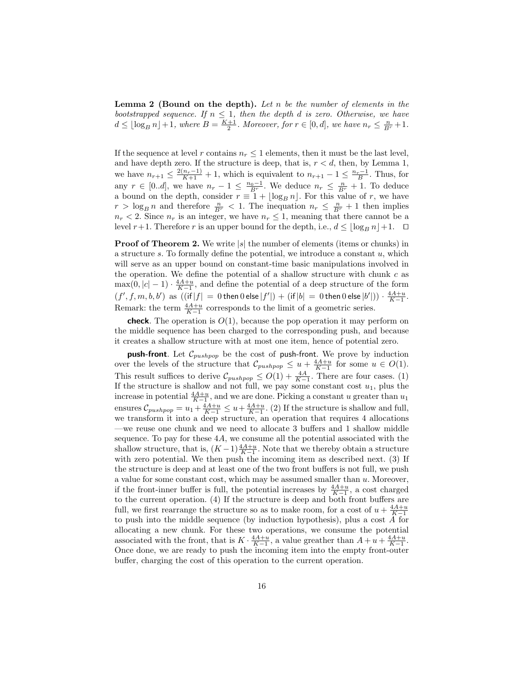**Lemma 2 (Bound on the depth).** Let n be the number of elements in the bootstrapped sequence. If  $n \leq 1$ , then the depth d is zero. Otherwise, we have  $d \leq \lfloor \log_B n \rfloor + 1$ , where  $B = \frac{K+1}{2}$ . Moreover, for  $r \in [0, d]$ , we have  $n_r \leq \frac{n}{B^r} + 1$ .

If the sequence at level r contains  $n_r \leq 1$  elements, then it must be the last level, and have depth zero. If the structure is deep, that is,  $r < d$ , then, by Lemma 1, we have  $n_{r+1} \leq \frac{2(n_r-1)}{K+1} + 1$ , which is equivalent to  $n_{r+1} - 1 \leq \frac{n_r-1}{B}$ . Thus, for any  $r \in [0..d]$ , we have  $n_r - 1 \leq \frac{n_0 - 1}{B^r}$ . We deduce  $n_r \leq \frac{n}{B^r} + 1$ . To deduce a bound on the depth, consider  $r \equiv 1 + \lfloor \log_B n \rfloor$ . For this value of r, we have  $r > \log_B n$  and therefore  $\frac{n}{B^r} < 1$ . The inequation  $n_r \leq \frac{n}{B^r} + 1$  then implies  $n_r < 2$ . Since  $n_r$  is an integer, we have  $n_r \leq 1$ , meaning that there cannot be a level  $r+1$ . Therefore r is an upper bound for the depth, i.e.,  $d \leq \lfloor \log_B n \rfloor +1.$   $\Box$ 

**Proof of Theorem 2.** We write  $|s|$  the number of elements (items or chunks) in a structure  $s$ . To formally define the potential, we introduce a constant  $u$ , which will serve as an upper bound on constant-time basic manipulations involved in the operation. We define the potential of a shallow structure with chunk  $c$  as  $\max(0, |c| - 1) \cdot \frac{4A + u}{K-1}$ , and define the potential of a deep structure of the form  $(f',f,m,b,b')$  as  $\left( (\mathsf{if} |f| = 0 \mathsf{then} \, 0 \, \mathsf{else} \, |f'| \right) + (\mathsf{if} |b| = 0 \, \mathsf{then} \, 0 \, \mathsf{else} \, |b'|)) \cdot \frac{4A+u}{K-1}.$ Remark: the term  $\frac{4A+u}{K-1}$  corresponds to the limit of a geometric series.

**check**. The operation is  $O(1)$ , because the pop operation it may perform on the middle sequence has been charged to the corresponding push, and because it creates a shallow structure with at most one item, hence of potential zero.

**push-front**. Let  $\mathcal{C}_{pushpop}$  be the cost of push-front. We prove by induction over the levels of the structure that  $\mathcal{C}_{pushpop} \leq u + \frac{4A+u}{K-1}$  for some  $u \in O(1)$ . This result suffices to derive  $\mathcal{C}_{pushpop} \leq O(1) + \frac{4A}{K-1}$ . There are four cases. (1) If the structure is shallow and not full, we pay some constant cost  $u_1$ , plus the increase in potential  $\frac{4A+u}{K-1}$ , and we are done. Picking a constant u greater than  $u_1$ ensures  $\mathcal{C}_{pushpop} = u_1 + \frac{4A+u}{K-1} \leq u + \frac{4A+u}{K-1}$ . (2) If the structure is shallow and full, we transform it into a deep structure, an operation that requires 4 allocations —we reuse one chunk and we need to allocate 3 buffers and 1 shallow middle sequence. To pay for these 4A, we consume all the potential associated with the shallow structure, that is,  $(K-1)\frac{4A+u}{K-1}$ . Note that we thereby obtain a structure with zero potential. We then push the incoming item as described next. (3) If the structure is deep and at least one of the two front buffers is not full, we push a value for some constant cost, which may be assumed smaller than  $u$ . Moreover, if the front-inner buffer is full, the potential increases by  $\frac{4A+u}{K-1}$ , a cost charged to the current operation. (4) If the structure is deep and both front buffers are full, we first rearrange the structure so as to make room, for a cost of  $u + \frac{4A+u}{K-1}$ to push into the middle sequence (by induction hypothesis), plus a cost A for allocating a new chunk. For these two operations, we consume the potential associated with the front, that is  $K \cdot \frac{4A+u}{K-1}$ , a value greather than  $A+u+\frac{4A+u}{K-1}$ . Once done, we are ready to push the incoming item into the empty front-outer buffer, charging the cost of this operation to the current operation.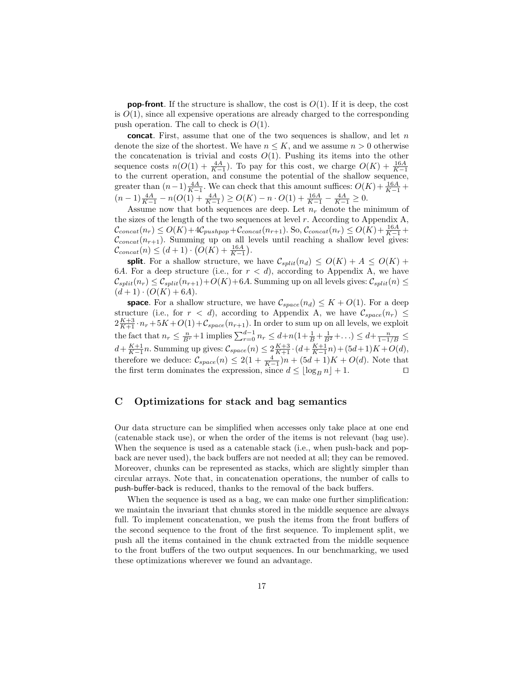**pop-front**. If the structure is shallow, the cost is  $O(1)$ . If it is deep, the cost is  $O(1)$ , since all expensive operations are already charged to the corresponding push operation. The call to check is  $O(1)$ .

**concat**. First, assume that one of the two sequences is shallow, and let  $n$ denote the size of the shortest. We have  $n \leq K$ , and we assume  $n > 0$  otherwise the concatenation is trivial and costs  $O(1)$ . Pushing its items into the other sequence costs  $n(O(1) + \frac{4A}{K-1})$ . To pay for this cost, we charge  $O(K) + \frac{16A}{K-1}$ to the current operation, and consume the potential of the shallow sequence, greater than  $(n-1)\frac{4A}{K-1}$ . We can check that this amount suffices:  $O(K) + \frac{16A}{K-1}$  +  $(n-1)\frac{4A}{K-1} - n(O(1) + \frac{4A}{K-1}) \ge O(K) - n \cdot O(1) + \frac{16A}{K-1} - \frac{4A}{K-1} \ge 0.$ 

Assume now that both sequences are deep. Let  $n_r$  denote the minimum of the sizes of the length of the two sequences at level  $r$ . According to Appendix A,  $\mathcal{C}_{concat}(n_r) \leq O(K) + 4\mathcal{C}_{pushpop} + \mathcal{C}_{concat}(n_{r+1}).$  So,  $\mathcal{C}_{concat}(n_r) \leq O(K) + \frac{16A}{K-1} + \frac{16}{K-1}$  $\mathcal{C}_{concat}(n_{r+1})$ . Summing up on all levels until reaching a shallow level gives:  $\mathcal{C}_{concat}(n) \leq (d+1) \cdot (O(K) + \frac{16A}{K-1}).$ 

**split**. For a shallow structure, we have  $\mathcal{C}_{split}(n_d) \leq O(K) + A \leq O(K) +$ 6A. For a deep structure (i.e., for  $r < d$ ), according to Appendix A, we have  $\mathcal{C}_{split}(n_r) \leq \mathcal{C}_{split}(n_{r+1})+O(K)+6A$ . Summing up on all levels gives:  $\mathcal{C}_{split}(n) \leq$  $(d+1) \cdot (O(K) + 6A).$ 

**space**. For a shallow structure, we have  $\mathcal{C}_{space}(n_d) \leq K + O(1)$ . For a deep structure (i.e., for  $r < d$ ), according to Appendix A, we have  $\mathcal{C}_{space}(n_r) \leq$  $2\frac{K+3}{K+1}\cdot n_r + 5K + O(1) + C_{space}(n_{r+1})$ . In order to sum up on all levels, we exploit the fact that  $n_r \leq \frac{n}{B^r} + 1$  implies  $\sum_{r=0}^{d-1} n_r \leq d + n(1 + \frac{1}{B} + \frac{1}{B^2} + ...) \leq d + \frac{n}{1-1/B} \leq$  $d + \frac{K+1}{K-1}n$ . Summing up gives:  $\mathcal{C}_{space}(n) \leq 2\frac{K+3}{K+1} \cdot (d + \frac{K+1}{K-1}n) + (5d+1)K + O(d)$ , therefore we deduce:  $\mathcal{C}_{space}(n) \leq 2(1 + \frac{4}{K-1})n + (5d+1)K + O(d)$ . Note that the first term dominates the expression, since  $d \leq \lfloor \log_B n \rfloor + 1$ .

## C Optimizations for stack and bag semantics

Our data structure can be simplified when accesses only take place at one end (catenable stack use), or when the order of the items is not relevant (bag use). When the sequence is used as a catenable stack (i.e., when push-back and popback are never used), the back buffers are not needed at all; they can be removed. Moreover, chunks can be represented as stacks, which are slightly simpler than circular arrays. Note that, in concatenation operations, the number of calls to push-buffer-back is reduced, thanks to the removal of the back buffers.

When the sequence is used as a bag, we can make one further simplification: we maintain the invariant that chunks stored in the middle sequence are always full. To implement concatenation, we push the items from the front buffers of the second sequence to the front of the first sequence. To implement split, we push all the items contained in the chunk extracted from the middle sequence to the front buffers of the two output sequences. In our benchmarking, we used these optimizations wherever we found an advantage.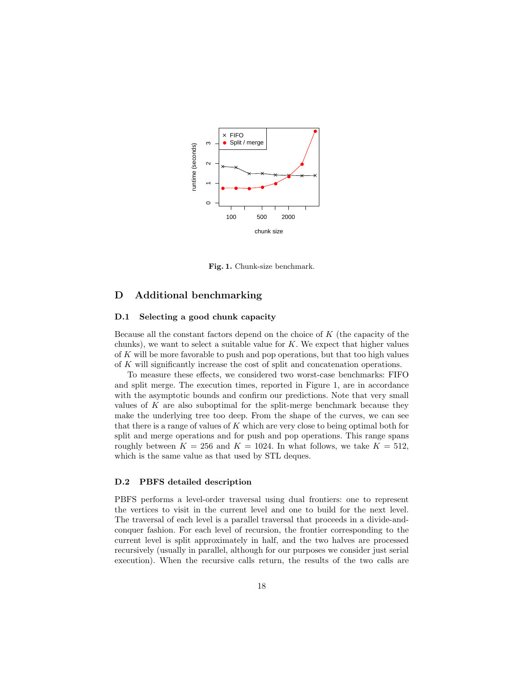

Fig. 1. Chunk-size benchmark.

### D Additional benchmarking

#### D.1 Selecting a good chunk capacity

Because all the constant factors depend on the choice of  $K$  (the capacity of the chunks), we want to select a suitable value for K. We expect that higher values of  $K$  will be more favorable to push and pop operations, but that too high values of K will significantly increase the cost of split and concatenation operations.

To measure these effects, we considered two worst-case benchmarks: FIFO and split merge. The execution times, reported in Figure 1, are in accordance with the asymptotic bounds and confirm our predictions. Note that very small values of  $K$  are also suboptimal for the split-merge benchmark because they make the underlying tree too deep. From the shape of the curves, we can see that there is a range of values of  $K$  which are very close to being optimal both for split and merge operations and for push and pop operations. This range spans roughly between  $K = 256$  and  $K = 1024$ . In what follows, we take  $K = 512$ , which is the same value as that used by STL deques.

### D.2 PBFS detailed description

PBFS performs a level-order traversal using dual frontiers: one to represent the vertices to visit in the current level and one to build for the next level. The traversal of each level is a parallel traversal that proceeds in a divide-andconquer fashion. For each level of recursion, the frontier corresponding to the current level is split approximately in half, and the two halves are processed recursively (usually in parallel, although for our purposes we consider just serial execution). When the recursive calls return, the results of the two calls are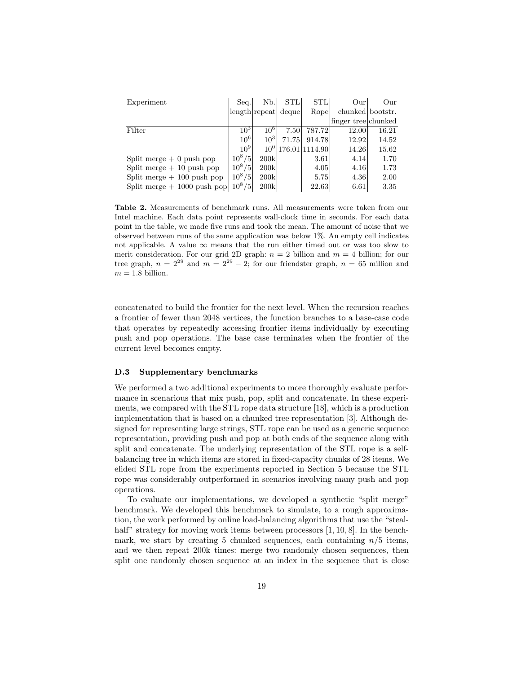| Experiment                   | Seq.            | Nb.                  | <b>STL</b> | <b>STL</b>     | Our                 | Our   |
|------------------------------|-----------------|----------------------|------------|----------------|---------------------|-------|
|                              |                 | length repeat  deque |            | Rope           | chunked bootstr.    |       |
|                              |                 |                      |            |                | finger tree chunked |       |
| Filter                       | $10^3$          | $10^{6}$             | 7.50       | 787.72         | 12.00               | 16.21 |
|                              | $10^6$          | $10^3$               | 71.75      | 914.78         | 12.92               | 14.52 |
|                              | 10 <sup>9</sup> | $10^{0}$             |            | 176.01 1114.90 | 14.26               | 15.62 |
| Split merge $+0$ push pop    | $10^8/5$        | 200k                 |            | 3.61           | 4.14                | 1.70  |
| Split merge $+10$ push pop   | $10^8/5$        | 200k                 |            | 4.05           | 4.16                | 1.73  |
| Split merge $+100$ push pop  | $10^8/5$        | 200k                 |            | 5.75           | 4.36                | 2.00  |
| Split merge $+1000$ push pop | $10^8/5$        | 200k                 |            | 22.63          | 6.61                | 3.35  |

Table 2. Measurements of benchmark runs. All measurements were taken from our Intel machine. Each data point represents wall-clock time in seconds. For each data point in the table, we made five runs and took the mean. The amount of noise that we observed between runs of the same application was below 1%. An empty cell indicates not applicable. A value  $\infty$  means that the run either timed out or was too slow to merit consideration. For our grid 2D graph:  $n = 2$  billion and  $m = 4$  billion; for our tree graph,  $n = 2^{29}$  and  $m = 2^{29} - 2$ ; for our friendster graph,  $n = 65$  million and  $m = 1.8$  billion.

concatenated to build the frontier for the next level. When the recursion reaches a frontier of fewer than 2048 vertices, the function branches to a base-case code that operates by repeatedly accessing frontier items individually by executing push and pop operations. The base case terminates when the frontier of the current level becomes empty.

#### D.3 Supplementary benchmarks

We performed a two additional experiments to more thoroughly evaluate performance in scenarious that mix push, pop, split and concatenate. In these experiments, we compared with the STL rope data structure [18], which is a production implementation that is based on a chunked tree representation [3]. Although designed for representing large strings, STL rope can be used as a generic sequence representation, providing push and pop at both ends of the sequence along with split and concatenate. The underlying representation of the STL rope is a selfbalancing tree in which items are stored in fixed-capacity chunks of 28 items. We elided STL rope from the experiments reported in Section 5 because the STL rope was considerably outperformed in scenarios involving many push and pop operations.

To evaluate our implementations, we developed a synthetic "split merge" benchmark. We developed this benchmark to simulate, to a rough approximation, the work performed by online load-balancing algorithms that use the "stealhalf" strategy for moving work items between processors [1, 10, 8]. In the benchmark, we start by creating 5 chunked sequences, each containing  $n/5$  items, and we then repeat 200k times: merge two randomly chosen sequences, then split one randomly chosen sequence at an index in the sequence that is close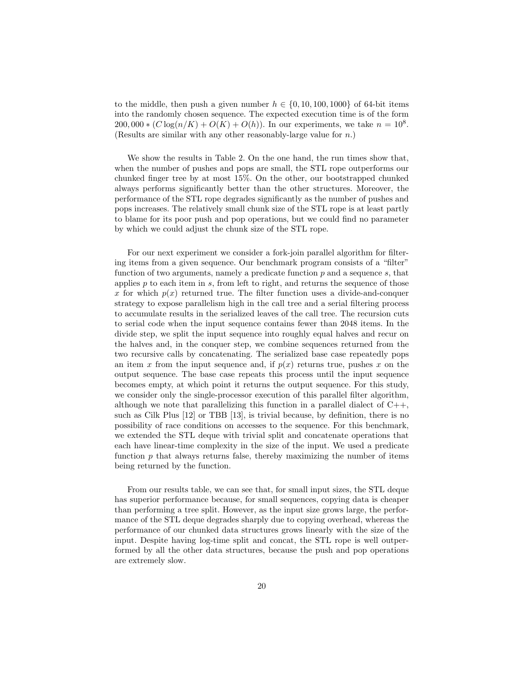to the middle, then push a given number  $h \in \{0, 10, 100, 1000\}$  of 64-bit items into the randomly chosen sequence. The expected execution time is of the form  $200,000 * (C \log(n/K) + O(K) + O(h))$ . In our experiments, we take  $n = 10<sup>8</sup>$ . (Results are similar with any other reasonably-large value for n.)

We show the results in Table 2. On the one hand, the run times show that, when the number of pushes and pops are small, the STL rope outperforms our chunked finger tree by at most 15%. On the other, our bootstrapped chunked always performs significantly better than the other structures. Moreover, the performance of the STL rope degrades significantly as the number of pushes and pops increases. The relatively small chunk size of the STL rope is at least partly to blame for its poor push and pop operations, but we could find no parameter by which we could adjust the chunk size of the STL rope.

For our next experiment we consider a fork-join parallel algorithm for filtering items from a given sequence. Our benchmark program consists of a "filter" function of two arguments, namely a predicate function  $p$  and a sequence  $s$ , that applies  $p$  to each item in  $s$ , from left to right, and returns the sequence of those x for which  $p(x)$  returned true. The filter function uses a divide-and-conquer strategy to expose parallelism high in the call tree and a serial filtering process to accumulate results in the serialized leaves of the call tree. The recursion cuts to serial code when the input sequence contains fewer than 2048 items. In the divide step, we split the input sequence into roughly equal halves and recur on the halves and, in the conquer step, we combine sequences returned from the two recursive calls by concatenating. The serialized base case repeatedly pops an item x from the input sequence and, if  $p(x)$  returns true, pushes x on the output sequence. The base case repeats this process until the input sequence becomes empty, at which point it returns the output sequence. For this study, we consider only the single-processor execution of this parallel filter algorithm, although we note that parallelizing this function in a parallel dialect of  $C_{++}$ , such as Cilk Plus [12] or TBB [13], is trivial because, by definition, there is no possibility of race conditions on accesses to the sequence. For this benchmark, we extended the STL deque with trivial split and concatenate operations that each have linear-time complexity in the size of the input. We used a predicate function  $p$  that always returns false, thereby maximizing the number of items being returned by the function.

From our results table, we can see that, for small input sizes, the STL deque has superior performance because, for small sequences, copying data is cheaper than performing a tree split. However, as the input size grows large, the performance of the STL deque degrades sharply due to copying overhead, whereas the performance of our chunked data structures grows linearly with the size of the input. Despite having log-time split and concat, the STL rope is well outperformed by all the other data structures, because the push and pop operations are extremely slow.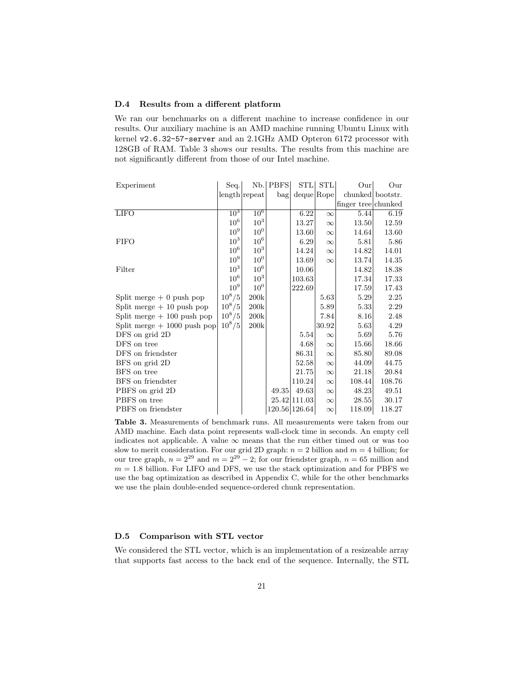#### D.4 Results from a different platform

We ran our benchmarks on a different machine to increase confidence in our results. Our auxiliary machine is an AMD machine running Ubuntu Linux with kernel v2.6.32-57-server and an 2.1GHz AMD Opteron 6172 processor with 128GB of RAM. Table 3 shows our results. The results from this machine are not significantly different from those of our Intel machine.

| Experiment                   | Seq.            |                 | Nb. PBFS   | <b>STL</b>    | <b>STL</b> | Our                 | Our              |
|------------------------------|-----------------|-----------------|------------|---------------|------------|---------------------|------------------|
|                              |                 | length repeat   | $\rm{bag}$ | deque Rope    |            |                     | chunked bootstr. |
|                              |                 |                 |            |               |            | finger tree chunked |                  |
| <b>LIFO</b>                  | $10^3$          | 10 <sup>6</sup> |            | 6.22          | $\infty$   | 5.44                | 6.19             |
|                              | $10^6$          | 10 <sup>3</sup> |            | 13.27         | $\infty$   | 13.50               | 12.59            |
|                              | 10 <sup>9</sup> | $10^{0}$        |            | 13.60         | $\infty$   | 14.64               | 13.60            |
| <b>FIFO</b>                  | $10^3$          | $10^6$          |            | 6.29          | $\infty$   | 5.81                | 5.86             |
|                              | $10^6$          | $10^3$          |            | 14.24         | $\infty$   | 14.82               | 14.01            |
|                              | 10 <sup>9</sup> | $10^{0}$        |            | 13.69         | $\infty$   | 13.74               | 14.35            |
| Filter                       | $10^3$          | $10^6$          |            | 10.06         |            | 14.82               | 18.38            |
|                              | $10^6$          | $10^3$          |            | 103.63        |            | 17.34               | 17.33            |
|                              | 10 <sup>9</sup> | 10 <sup>0</sup> |            | 222.69        |            | 17.59               | 17.43            |
| Split merge $+0$ push pop    | $10^8/5$        | 200k            |            |               | 5.63       | 5.29                | 2.25             |
| Split merge $+10$ push pop   | $10^{8}/5$      | 200k            |            |               | 5.89       | 5.33                | 2.29             |
| Split merge $+100$ push pop  | $10^8/5$        | 200k            |            |               | 7.84       | 8.16                | 2.48             |
| Split merge $+1000$ push pop | $10^8/5$        | 200k            |            |               | 30.92      | 5.63                | 4.29             |
| DFS on grid 2D               |                 |                 |            | 5.54          | $\infty$   | 5.69                | 5.76             |
| DFS on tree                  |                 |                 |            | 4.68          | $\infty$   | 15.66               | 18.66            |
| DFS on friendster            |                 |                 |            | 86.31         | $\infty$   | 85.80               | 89.08            |
| BFS on grid 2D               |                 |                 |            | 52.58         | $\infty$   | 44.09               | 44.75            |
| BFS on tree                  |                 |                 |            | 21.75         | $\infty$   | 21.18               | 20.84            |
| BFS on friendster            |                 |                 |            | 110.24        | $\infty$   | 108.44              | 108.76           |
| PBFS on grid 2D              |                 |                 | 49.35      | 49.63         | $\infty$   | 48.23               | 49.51            |
| PBFS on tree                 |                 |                 |            | 25.42 111.03  | $\infty$   | 28.55               | 30.17            |
| PBFS on friendster           |                 |                 |            | 120.56 126.64 | $\infty$   | 118.09              | 118.27           |

Table 3. Measurements of benchmark runs. All measurements were taken from our AMD machine. Each data point represents wall-clock time in seconds. An empty cell indicates not applicable. A value  $\infty$  means that the run either timed out or was too slow to merit consideration. For our grid 2D graph:  $n = 2$  billion and  $m = 4$  billion; for our tree graph,  $n = 2^{29}$  and  $m = 2^{29} - 2$ ; for our friendster graph,  $n = 65$  million and  $m = 1.8$  billion. For LIFO and DFS, we use the stack optimization and for PBFS we use the bag optimization as described in Appendix C, while for the other benchmarks we use the plain double-ended sequence-ordered chunk representation.

#### D.5 Comparison with STL vector

We considered the STL vector, which is an implementation of a resizeable array that supports fast access to the back end of the sequence. Internally, the STL